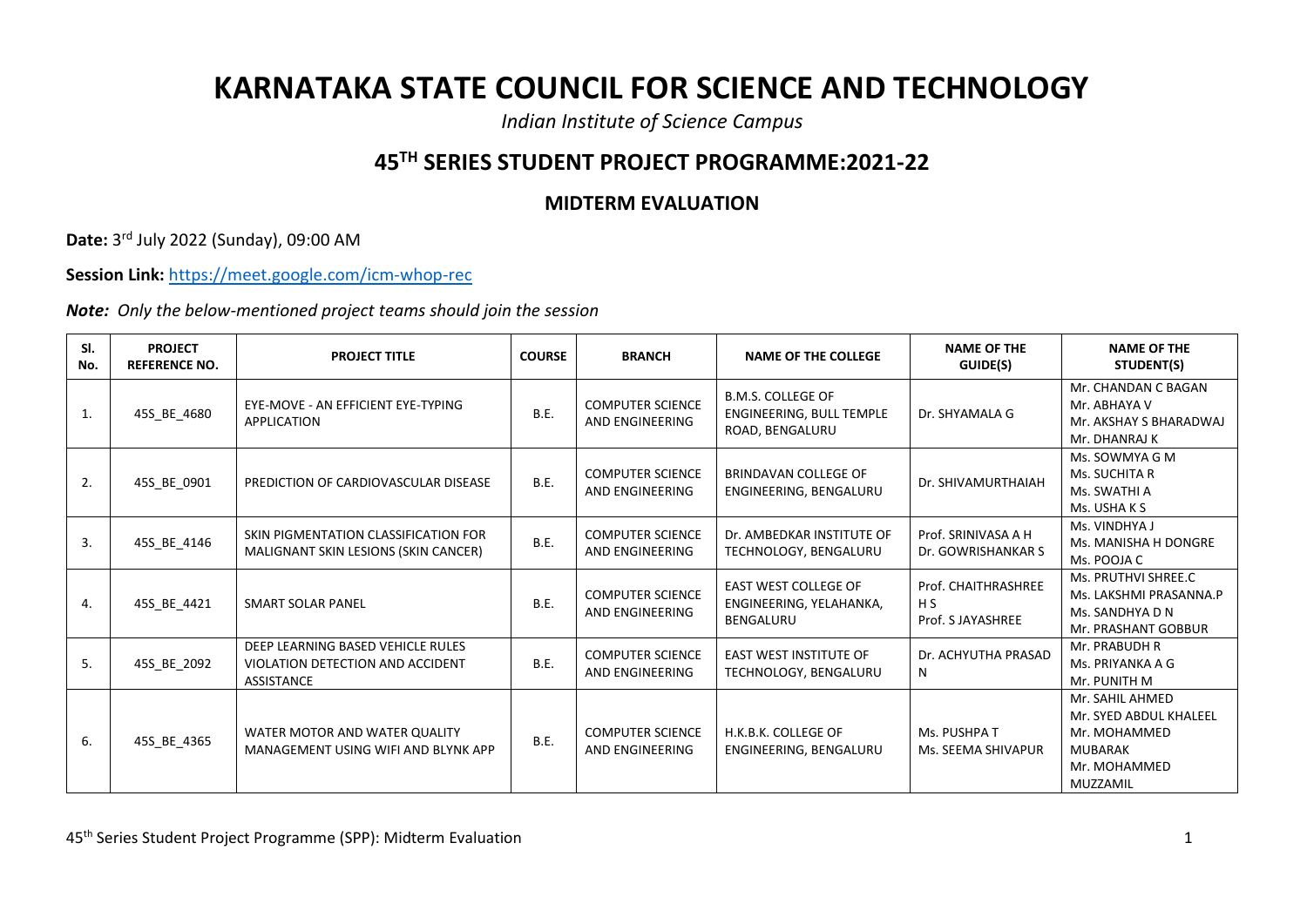## **KARNATAKA STATE COUNCIL FOR SCIENCE AND TECHNOLOGY**

*Indian Institute of Science Campus*

## **45TH SERIES STUDENT PROJECT PROGRAMME:2021-22**

## **MIDTERM EVALUATION**

**Date:** 3 rd July 2022 (Sunday), 09:00 AM

**Session Link:** <https://meet.google.com/icm-whop-rec>

*Note: Only the below-mentioned project teams should join the session*

| SI.<br>No. | <b>PROJECT</b><br><b>REFERENCE NO.</b> | <b>PROJECT TITLE</b>                                                                       | <b>COURSE</b> | <b>BRANCH</b>                              | <b>NAME OF THE COLLEGE</b>                                                 | <b>NAME OF THE</b><br>GUIDE(S)                  | <b>NAME OF THE</b><br>STUDENT(S)                                                                        |
|------------|----------------------------------------|--------------------------------------------------------------------------------------------|---------------|--------------------------------------------|----------------------------------------------------------------------------|-------------------------------------------------|---------------------------------------------------------------------------------------------------------|
| 1.         | 45S_BE_4680                            | EYE-MOVE - AN EFFICIENT EYE-TYPING<br>APPLICATION                                          | B.E.          | <b>COMPUTER SCIENCE</b><br>AND ENGINEERING | <b>B.M.S. COLLEGE OF</b><br>ENGINEERING, BULL TEMPLE<br>ROAD, BENGALURU    | Dr. SHYAMALA G                                  | Mr. CHANDAN C BAGAN<br>Mr. ABHAYA V<br>Mr. AKSHAY S BHARADWAJ<br>Mr. DHANRAJ K                          |
| 2.         | 45S_BE_0901                            | PREDICTION OF CARDIOVASCULAR DISEASE                                                       | B.E.          | <b>COMPUTER SCIENCE</b><br>AND ENGINEERING | BRINDAVAN COLLEGE OF<br>ENGINEERING, BENGALURU                             | Dr. SHIVAMURTHAIAH                              | Ms. SOWMYA G M<br>Ms. SUCHITA R<br>Ms. SWATHI A<br>Ms. USHA K S                                         |
| 3.         | 45S_BE_4146                            | SKIN PIGMENTATION CLASSIFICATION FOR<br>MALIGNANT SKIN LESIONS (SKIN CANCER)               | B.E.          | <b>COMPUTER SCIENCE</b><br>AND ENGINEERING | Dr. AMBEDKAR INSTITUTE OF<br>TECHNOLOGY, BENGALURU                         | Prof. SRINIVASA A H<br>Dr. GOWRISHANKAR S       | Ms. VINDHYA J<br>Ms. MANISHA H DONGRE<br>Ms. POOJA C                                                    |
| 4.         | 45S BE 4421                            | <b>SMART SOLAR PANEL</b>                                                                   | B.E.          | <b>COMPUTER SCIENCE</b><br>AND ENGINEERING | <b>EAST WEST COLLEGE OF</b><br>ENGINEERING, YELAHANKA,<br><b>BENGALURU</b> | Prof. CHAITHRASHREE<br>H S<br>Prof. S JAYASHREE | Ms. PRUTHVI SHREE.C<br>Ms. LAKSHMI PRASANNA.P<br>Ms. SANDHYA D N<br>Mr. PRASHANT GOBBUR                 |
| 5.         | 45S_BE_2092                            | DEEP LEARNING BASED VEHICLE RULES<br>VIOLATION DETECTION AND ACCIDENT<br><b>ASSISTANCE</b> | B.E.          | <b>COMPUTER SCIENCE</b><br>AND ENGINEERING | <b>EAST WEST INSTITUTE OF</b><br>TECHNOLOGY, BENGALURU                     | Dr. ACHYUTHA PRASAD<br>N                        | Mr. PRABUDH R<br>Ms. PRIYANKA A G<br>Mr. PUNITH M                                                       |
| 6.         | 45S_BE_4365                            | WATER MOTOR AND WATER QUALITY<br>MANAGEMENT USING WIFI AND BLYNK APP                       | B.E.          | <b>COMPUTER SCIENCE</b><br>AND ENGINEERING | H.K.B.K. COLLEGE OF<br>ENGINEERING, BENGALURU                              | Ms. PUSHPA T<br>Ms. SEEMA SHIVAPUR              | Mr. SAHIL AHMED<br>Mr. SYED ABDUL KHALEEL<br>Mr. MOHAMMED<br><b>MUBARAK</b><br>Mr. MOHAMMED<br>MUZZAMIL |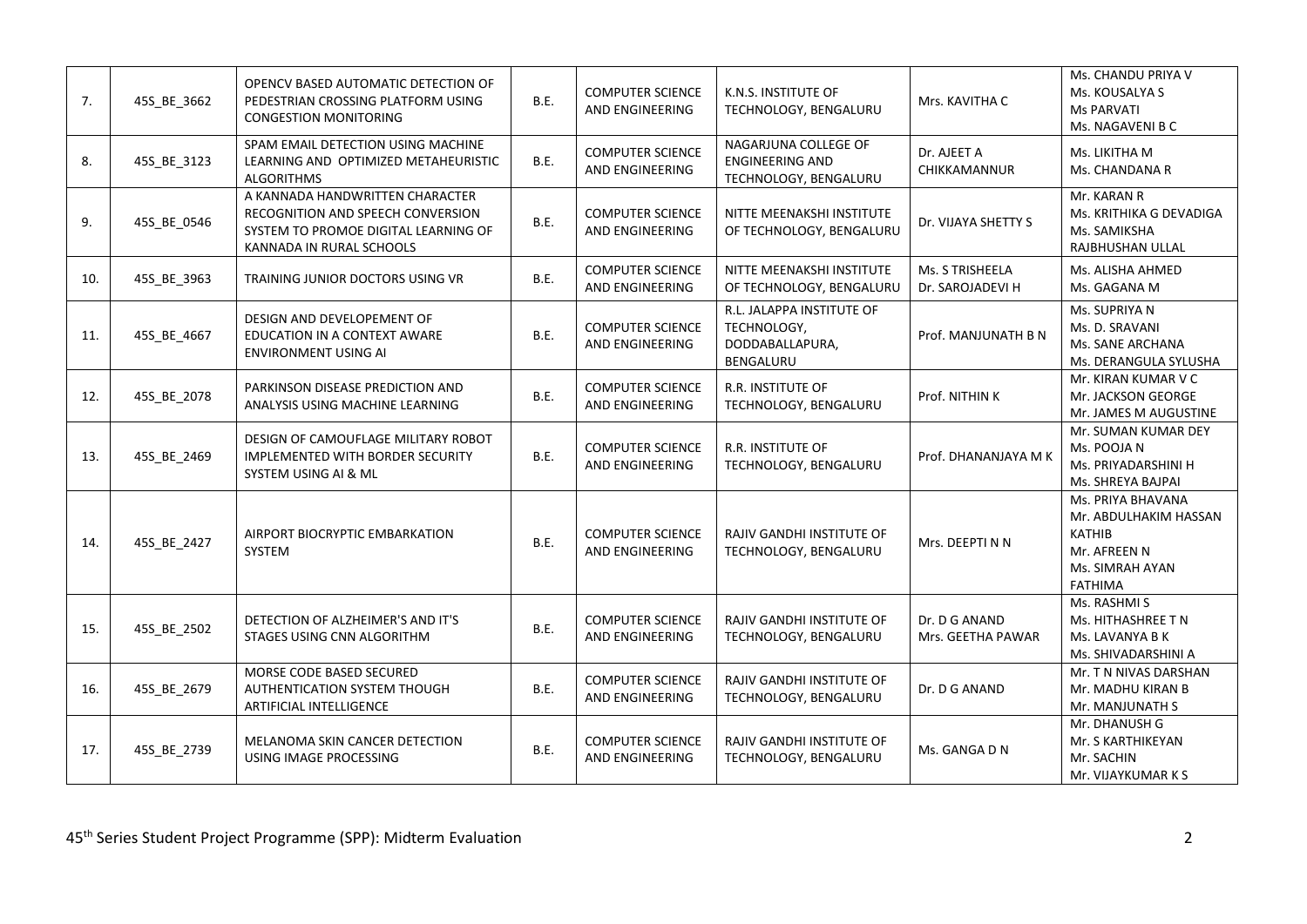| 7.  | 45S_BE_3662 | OPENCV BASED AUTOMATIC DETECTION OF<br>PEDESTRIAN CROSSING PLATFORM USING<br><b>CONGESTION MONITORING</b>                                | B.E.        | <b>COMPUTER SCIENCE</b><br>AND ENGINEERING        | K.N.S. INSTITUTE OF<br>TECHNOLOGY, BENGALURU                             | Mrs. KAVITHA C                      | Ms. CHANDU PRIYA V<br>Ms. KOUSALYA S<br><b>Ms PARVATI</b><br>Ms. NAGAVENI B C                             |
|-----|-------------|------------------------------------------------------------------------------------------------------------------------------------------|-------------|---------------------------------------------------|--------------------------------------------------------------------------|-------------------------------------|-----------------------------------------------------------------------------------------------------------|
| 8.  | 45S_BE_3123 | SPAM EMAIL DETECTION USING MACHINE<br>LEARNING AND OPTIMIZED METAHEURISTIC<br><b>ALGORITHMS</b>                                          | B.E.        | <b>COMPUTER SCIENCE</b><br>AND ENGINEERING        | NAGARJUNA COLLEGE OF<br><b>ENGINEERING AND</b><br>TECHNOLOGY, BENGALURU  | Dr. AJEET A<br>CHIKKAMANNUR         | Ms. LIKITHA M<br>Ms. CHANDANA R                                                                           |
| 9.  | 45S BE 0546 | A KANNADA HANDWRITTEN CHARACTER<br>RECOGNITION AND SPEECH CONVERSION<br>SYSTEM TO PROMOE DIGITAL LEARNING OF<br>KANNADA IN RURAL SCHOOLS | B.E.        | <b>COMPUTER SCIENCE</b><br>AND ENGINEERING        | NITTE MEENAKSHI INSTITUTE<br>OF TECHNOLOGY, BENGALURU                    | Dr. VIJAYA SHETTY S                 | Mr. KARAN R<br>Ms. KRITHIKA G DEVADIGA<br>Ms. SAMIKSHA<br>RAJBHUSHAN ULLAL                                |
| 10. | 45S_BE_3963 | TRAINING JUNIOR DOCTORS USING VR                                                                                                         | <b>B.E.</b> | <b>COMPUTER SCIENCE</b><br>AND ENGINEERING        | NITTE MEENAKSHI INSTITUTE<br>OF TECHNOLOGY, BENGALURU                    | Ms. S TRISHEELA<br>Dr. SAROJADEVI H | Ms. ALISHA AHMED<br>Ms. GAGANA M                                                                          |
| 11. | 45S_BE_4667 | DESIGN AND DEVELOPEMENT OF<br>EDUCATION IN A CONTEXT AWARE<br><b>ENVIRONMENT USING AI</b>                                                | B.E.        | <b>COMPUTER SCIENCE</b><br>AND ENGINEERING        | R.L. JALAPPA INSTITUTE OF<br>TECHNOLOGY,<br>DODDABALLAPURA,<br>BENGALURU | Prof. MANJUNATH B N                 | Ms. SUPRIYA N<br>Ms. D. SRAVANI<br>Ms. SANE ARCHANA<br>Ms. DERANGULA SYLUSHA                              |
| 12. | 45S BE 2078 | PARKINSON DISEASE PREDICTION AND<br>ANALYSIS USING MACHINE LEARNING                                                                      | B.E.        | <b>COMPUTER SCIENCE</b><br><b>AND ENGINEERING</b> | <b>R.R. INSTITUTE OF</b><br>TECHNOLOGY, BENGALURU                        | Prof. NITHIN K                      | Mr. KIRAN KUMAR V C<br>Mr. JACKSON GEORGE<br>Mr. JAMES M AUGUSTINE                                        |
| 13. | 45S_BE_2469 | DESIGN OF CAMOUFLAGE MILITARY ROBOT<br>IMPLEMENTED WITH BORDER SECURITY<br>SYSTEM USING AI & ML                                          | B.E.        | <b>COMPUTER SCIENCE</b><br>AND ENGINEERING        | R.R. INSTITUTE OF<br>TECHNOLOGY, BENGALURU                               | Prof. DHANANJAYA M K                | Mr. SUMAN KUMAR DEY<br>Ms. POOJA N<br>Ms. PRIYADARSHINI H<br>Ms. SHREYA BAJPAI                            |
| 14. | 45S_BE_2427 | AIRPORT BIOCRYPTIC EMBARKATION<br>SYSTEM                                                                                                 | B.E.        | <b>COMPUTER SCIENCE</b><br>AND ENGINEERING        | RAJIV GANDHI INSTITUTE OF<br>TECHNOLOGY, BENGALURU                       | Mrs. DEEPTI N N                     | Ms. PRIYA BHAVANA<br>Mr. ABDULHAKIM HASSAN<br>KATHIB<br>Mr. AFREEN N<br>Ms. SIMRAH AYAN<br><b>FATHIMA</b> |
| 15. | 45S_BE_2502 | DETECTION OF ALZHEIMER'S AND IT'S<br>STAGES USING CNN ALGORITHM                                                                          | B.E.        | <b>COMPUTER SCIENCE</b><br>AND ENGINEERING        | RAJIV GANDHI INSTITUTE OF<br>TECHNOLOGY, BENGALURU                       | Dr. D G ANAND<br>Mrs. GEETHA PAWAR  | Ms. RASHMI S<br>Ms. HITHASHREE T N<br>Ms. LAVANYA B K<br>Ms. SHIVADARSHINI A                              |
| 16. | 45S_BE_2679 | MORSE CODE BASED SECURED<br>AUTHENTICATION SYSTEM THOUGH<br>ARTIFICIAL INTELLIGENCE                                                      | B.E.        | <b>COMPUTER SCIENCE</b><br>AND ENGINEERING        | RAJIV GANDHI INSTITUTE OF<br>TECHNOLOGY, BENGALURU                       | Dr. D G ANAND                       | Mr. T N NIVAS DARSHAN<br>Mr. MADHU KIRAN B<br>Mr. MANJUNATH S                                             |
| 17. | 45S BE 2739 | MELANOMA SKIN CANCER DETECTION<br>USING IMAGE PROCESSING                                                                                 | B.E.        | <b>COMPUTER SCIENCE</b><br>AND ENGINEERING        | <b>RAJIV GANDHI INSTITUTE OF</b><br>TECHNOLOGY, BENGALURU                | Ms. GANGA D N                       | Mr. DHANUSH G<br>Mr. S KARTHIKEYAN<br>Mr. SACHIN<br>Mr. VIJAYKUMAR K S                                    |